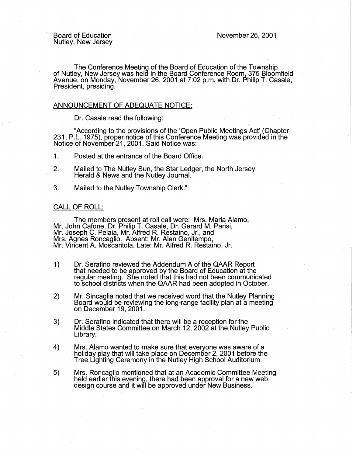November 26, 2001

Board of Education Nutley, New Jersey

The Conference Meeting of the Board of Education of the Township of Nutley, New Jersey was held in the Board Conference Room, 375 Bloomfield Avenue, on Monday, November 26, 2001 at 7:02 p.m. with Dr. Philip T. Casale, President, presiding.

## ANNOUNCEMENT OF ADEQUATE NOTICE:

Dr. Casale read the following:

"According to the provisions of the 'Open Public Meetings Act' (Chapter 231, P.L. 1975), proper notice of this Conference Meeting was provided in the Notice of November 21, 2001. Said Notice was:

- 1 . Posted at the entrance of the Board Office.
- 2. Mailed to The Nutley Sun, the Star Ledger, the North Jersey Herald & News and the Nutley Journal.
- 3. Mailed to the Nutley Township Clerk."

#### CALL OF ROLL:

The members present at roll call were: Mrs. Maria Alamo, Mr. John Cafone, Dr. Philip T. Casale, Dr. Gerard M. Parisi, Mr. Joseph C. Pelaia, Mr. Alfred R. Restaino, Jr., and Mrs. Agnes Roncaglio. Absent: Mr. Alan Genitempo, Mr. Vincent A. Moscaritola. Late: Mr. Alfred R. Restaino, Jr.

- 1) Dr. Serafino reviewed the Addendum A of the QAAR Report that needed to be approved by the Board of Education at the regular meeting. She noted that this had not been communicated to school districts when the QAAR had been adopted in October.
- 2) Mr. Sincaglia noted that we received word that the Nutley Planning Board would be.reviewing the long-range facility plan at a meeting on December 19, 2001.
- 3) Dr. Serafino indicated that there will be a reception for the Middle States Committee on March 12, 2002 at the Nutley Public Library.
- 4) Mrs. Alamo wanted to make sure that everyone was aware of a Tree Lighting Ceremony in the Nutley High School Auditorium.
- 5) Mrs. Roncaglio mentioned that at an Academic Committee Meeting held earlier this evening, there had been approval for a new web design course and it will be approved under New Business.